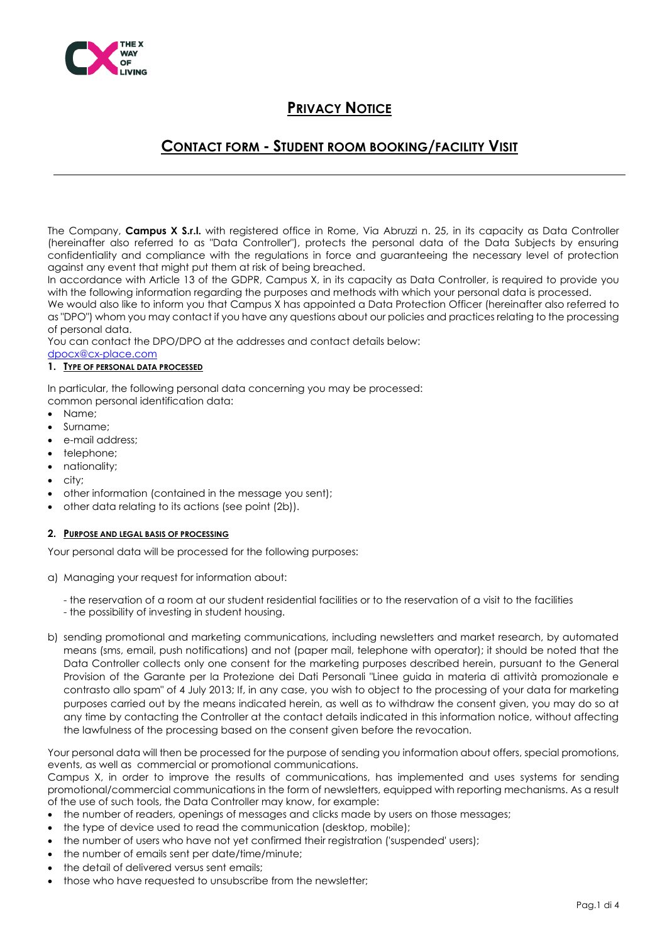

### **CONTACT FORM - STUDENT ROOM BOOKING/FACILITY VISIT**

The Company, **Campus X S.r.l.** with registered office in Rome, Via Abruzzi n. 25, in its capacity as Data Controller (hereinafter also referred to as "Data Controller"), protects the personal data of the Data Subjects by ensuring confidentiality and compliance with the regulations in force and guaranteeing the necessary level of protection against any event that might put them at risk of being breached.

In accordance with Article 13 of the GDPR, Campus X, in its capacity as Data Controller, is required to provide you with the following information regarding the purposes and methods with which your personal data is processed.

We would also like to inform you that Campus X has appointed a Data Protection Officer (hereinafter also referred to as "DPO") whom you may contact if you have any questions about our policies and practices relating to the processing of personal data.

You can contact the DPO/DPO at the addresses and contact details below:

#### [dpocx@cx-place.com](about:blank)  **1. TYPE OF PERSONAL DATA PROCESSED**

In particular, the following personal data concerning you may be processed: common personal identification data:

- Name;
- Surname;
- e-mail address;
- telephone;
- nationality;
- city;
- other information (contained in the message you sent);
- other data relating to its actions (see point (2b)).

#### **2. PURPOSE AND LEGAL BASIS OF PROCESSING**

Your personal data will be processed for the following purposes:

- a) Managing your request for information about:
	- the reservation of a room at our student residential facilities or to the reservation of a visit to the facilities
	- the possibility of investing in student housing.
- b) sending promotional and marketing communications, including newsletters and market research, by automated means (sms, email, push notifications) and not (paper mail, telephone with operator); it should be noted that the Data Controller collects only one consent for the marketing purposes described herein, pursuant to the General Provision of the Garante per la Protezione dei Dati Personali "Linee guida in materia di attività promozionale e contrasto allo spam" of 4 July 2013; If, in any case, you wish to object to the processing of your data for marketing purposes carried out by the means indicated herein, as well as to withdraw the consent given, you may do so at any time by contacting the Controller at the contact details indicated in this information notice, without affecting the lawfulness of the processing based on the consent given before the revocation.

Your personal data will then be processed for the purpose of sending you information about offers, special promotions, events, as well as commercial or promotional communications.

Campus X, in order to improve the results of communications, has implemented and uses systems for sending promotional/commercial communications in the form of newsletters, equipped with reporting mechanisms. As a result of the use of such tools, the Data Controller may know, for example:

- the number of readers, openings of messages and clicks made by users on those messages;
- the type of device used to read the communication (desktop, mobile);
- the number of users who have not yet confirmed their registration ('suspended' users);
- the number of emails sent per date/time/minute;
- the detail of delivered versus sent emails;
- those who have requested to unsubscribe from the newsletter: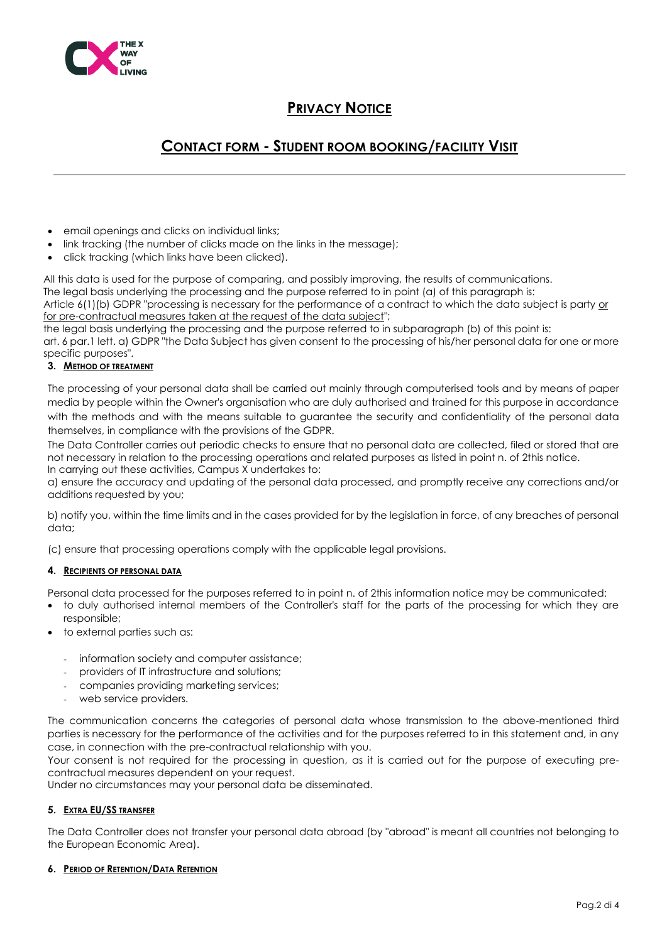

### **CONTACT FORM - STUDENT ROOM BOOKING/FACILITY VISIT**

- email openings and clicks on individual links;
- link tracking (the number of clicks made on the links in the message);
- click tracking (which links have been clicked).

All this data is used for the purpose of comparing, and possibly improving, the results of communications. The legal basis underlying the processing and the purpose referred to in point (a) of this paragraph is: Article 6(1)(b) GDPR "processing is necessary for the performance of a contract to which the data subject is party or for pre-contractual measures taken at the request of the data subject";

the legal basis underlying the processing and the purpose referred to in subparagraph (b) of this point is: art. 6 par. 1 lett. a) GDPR "the Data Subject has given consent to the processing of his/her personal data for one or more specific purposes".

### **3. METHOD OF TREATMENT**

The processing of your personal data shall be carried out mainly through computerised tools and by means of paper media by people within the Owner's organisation who are duly authorised and trained for this purpose in accordance with the methods and with the means suitable to guarantee the security and confidentiality of the personal data themselves, in compliance with the provisions of the GDPR.

The Data Controller carries out periodic checks to ensure that no personal data are collected, filed or stored that are not necessary in relation to the processing operations and related purposes as listed in point n. of 2this notice. In carrying out these activities, Campus X undertakes to:

a) ensure the accuracy and updating of the personal data processed, and promptly receive any corrections and/or additions requested by you;

b) notify you, within the time limits and in the cases provided for by the legislation in force, of any breaches of personal data;

(c) ensure that processing operations comply with the applicable legal provisions.

### **4. RECIPIENTS OF PERSONAL DATA**

Personal data processed for the purposes referred to in point n. of 2this information notice may be communicated:

- to duly authorised internal members of the Controller's staff for the parts of the processing for which they are responsible;
- to external parties such as:
	- information society and computer assistance;
	- providers of IT infrastructure and solutions;
	- companies providing marketing services;
	- web service providers.

The communication concerns the categories of personal data whose transmission to the above-mentioned third parties is necessary for the performance of the activities and for the purposes referred to in this statement and, in any case, in connection with the pre-contractual relationship with you.

Your consent is not required for the processing in question, as it is carried out for the purpose of executing precontractual measures dependent on your request.

Under no circumstances may your personal data be disseminated.

#### **5. EXTRA EU/SS TRANSFER**

The Data Controller does not transfer your personal data abroad (by "abroad" is meant all countries not belonging to the European Economic Area).

#### **6. PERIOD OF RETENTION/DATA RETENTION**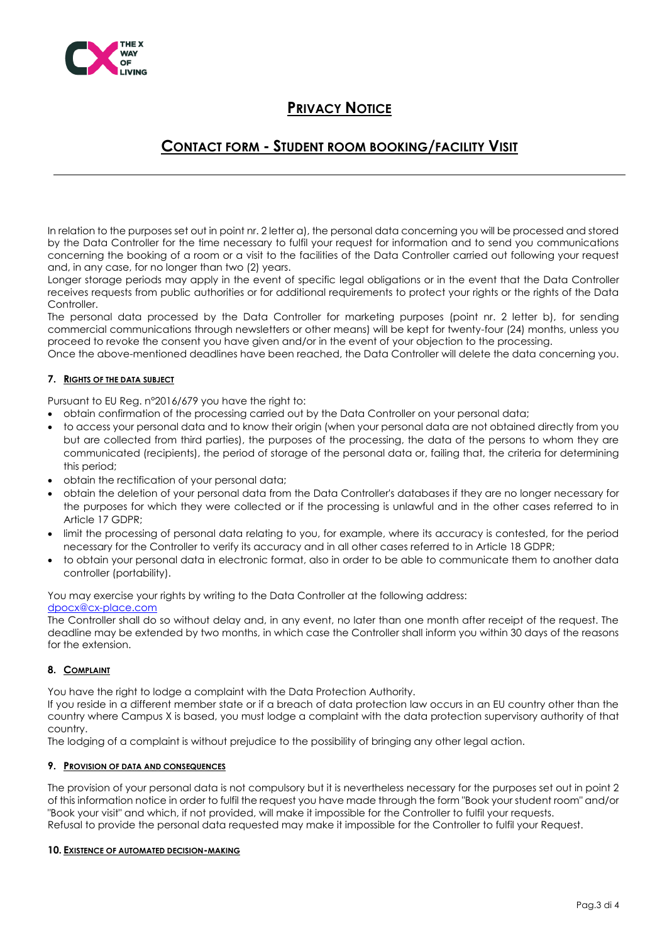

### **CONTACT FORM - STUDENT ROOM BOOKING/FACILITY VISIT**

In relation to the purposes set out in point nr. 2 letter a), the personal data concerning you will be processed and stored by the Data Controller for the time necessary to fulfil your request for information and to send you communications concerning the booking of a room or a visit to the facilities of the Data Controller carried out following your request and, in any case, for no longer than two (2) years.

Longer storage periods may apply in the event of specific legal obligations or in the event that the Data Controller receives requests from public authorities or for additional requirements to protect your rights or the rights of the Data Controller

The personal data processed by the Data Controller for marketing purposes (point nr. 2 letter b), for sending commercial communications through newsletters or other means) will be kept for twenty-four (24) months, unless you proceed to revoke the consent you have given and/or in the event of your objection to the processing.

Once the above-mentioned deadlines have been reached, the Data Controller will delete the data concerning you.

### **7. RIGHTS OF THE DATA SUBJECT**

Pursuant to EU Reg. n°2016/679 you have the right to:

- obtain confirmation of the processing carried out by the Data Controller on your personal data;
- to access your personal data and to know their origin (when your personal data are not obtained directly from you but are collected from third parties), the purposes of the processing, the data of the persons to whom they are communicated (recipients), the period of storage of the personal data or, failing that, the criteria for determining this period;
- obtain the rectification of your personal data;
- obtain the deletion of your personal data from the Data Controller's databases if they are no longer necessary for the purposes for which they were collected or if the processing is unlawful and in the other cases referred to in Article 17 GDPR;
- limit the processing of personal data relating to you, for example, where its accuracy is contested, for the period necessary for the Controller to verify its accuracy and in all other cases referred to in Article 18 GDPR;
- to obtain your personal data in electronic format, also in order to be able to communicate them to another data controller (portability).

You may exercise your rights by writing to the Data Controller at the following address:

#### [dpocx@cx-place.com](about:blank)

The Controller shall do so without delay and, in any event, no later than one month after receipt of the request. The deadline may be extended by two months, in which case the Controller shall inform you within 30 days of the reasons for the extension.

### **8. COMPLAINT**

You have the right to lodge a complaint with the Data Protection Authority.

If you reside in a different member state or if a breach of data protection law occurs in an EU country other than the country where Campus X is based, you must lodge a complaint with the data protection supervisory authority of that country.

The lodging of a complaint is without prejudice to the possibility of bringing any other legal action.

#### **9. PROVISION OF DATA AND CONSEQUENCES**

The provision of your personal data is not compulsory but it is nevertheless necessary for the purposes set out in point 2 of this information notice in order to fulfil the request you have made through the form "Book your student room" and/or "Book your visit" and which, if not provided, will make it impossible for the Controller to fulfil your requests. Refusal to provide the personal data requested may make it impossible for the Controller to fulfil your Request.

#### **10. EXISTENCE OF AUTOMATED DECISION-MAKING**